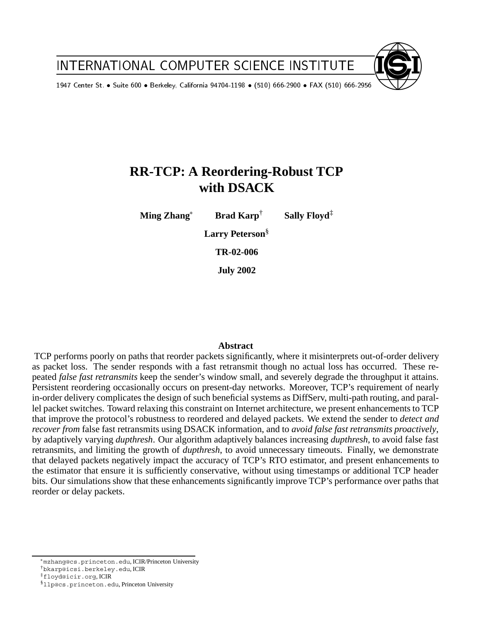INTERNATIONAL EXPERIMENT INTERNATIONAL EXPERIMENT INTERNATIONAL EXPERIMENT INTERNATIONAL EXPERIMENT INTERNATIONAL

1947 Center St. TIONAL Suite 600 Berk eley, California 94704-1198 (510) 666-2900  $\mathbb{F}_{\mathbb{F}_{\mathbb{F}}}\left(1,0,1\right)$  for  $\mathbb{F}_{\mathbb{F}_{\mathbb{F}}}\left(1,0,1\right)$ 

# **RR-TCP: A Reordering-Robust TCP with DSACK**

**Ming Zhang Brad Karp**† **Sally Floyd**‡

**Larry Peterson**§

**TR-02-006**

**July 2002**

# **Abstract**

TCP performs poorly on paths that reorder packets significantly, where it misinterprets out-of-order delivery as packet loss. The sender responds with a fast retransmit though no actual loss has occurred. These repeated *false fast retransmits* keep the sender's window small, and severely degrade the throughput it attains. Persistent reordering occasionally occurs on present-day networks. Moreover, TCP's requirement of nearly in-order delivery complicates the design of such beneficial systems as DiffServ, multi-path routing, and parallel packet switches. Toward relaxing this constraint on Internet architecture, we present enhancements to TCP that improve the protocol's robustness to reordered and delayed packets. We extend the sender to *detect and recover from* false fast retransmits using DSACK information, and to *avoid false fast retransmits proactively*, by adaptively varying *dupthresh*. Our algorithm adaptively balances increasing *dupthresh*, to avoid false fast retransmits, and limiting the growth of *dupthresh*, to avoid unnecessary timeouts. Finally, we demonstrate that delayed packets negatively impact the accuracy of TCP's RTO estimator, and present enhancements to the estimator that ensure it is sufficiently conservative, without using timestamps or additional TCP header bits. Our simulations show that these enhancements significantly improve TCP's performance over paths that reorder or delay packets.

mzhang@cs.princeton.edu, ICIR/Princeton University

<sup>†</sup>bkarp@icsi.berkeley.edu, ICIR

<sup>‡</sup>floyd@icir.org, ICIR

<sup>§</sup>llp@cs.princeton.edu, Princeton University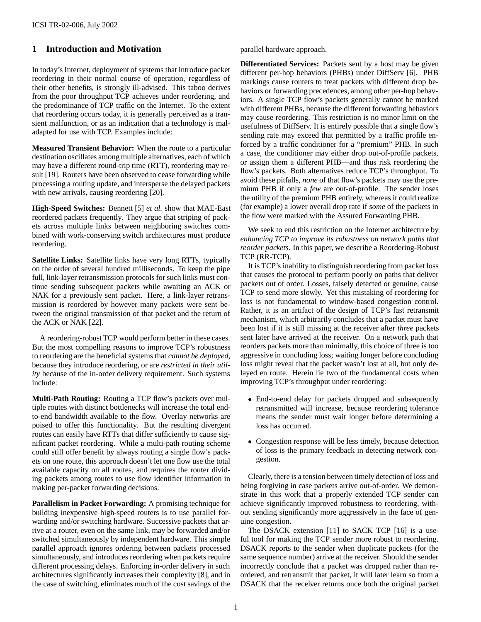# **1 Introduction and Motivation**

In today's Internet, deployment of systems that introduce packet reordering in their normal course of operation, regardless of their other benefits, is strongly ill-advised. This taboo derives from the poor throughput TCP achieves under reordering, and the predominance of TCP traffic on the Internet. To the extent that reordering occurs today, it is generally perceived as a transient malfunction, or as an indication that a technology is maladapted for use with TCP. Examples include:

**Measured Transient Behavior:** When the route to a particular destination oscillates among multiple alternatives, each of which may have a different round-trip time (RTT), reordering may result [19]. Routers have been observed to cease forwarding while processing a routing update, and intersperse the delayed packets with new arrivals, causing reordering [20].

**High-Speed Switches:** Bennett [5] *et al.* show that MAE-East reordered packets frequently. They argue that striping of packets across multiple links between neighboring switches combined with work-conserving switch architectures must produce reordering.

**Satellite Links:** Satellite links have very long RTTs, typically on the order of several hundred milliseconds. To keep the pipe full, link-layer retransmission protocols for such links must continue sending subsequent packets while awaiting an ACK or NAK for a previously sent packet. Here, a link-layer retransmission is reordered by however many packets were sent between the original transmission of that packet and the return of the ACK or NAK [22].

A reordering-robust TCP would perform better in these cases. But the most compelling reasons to improve TCP's robustness to reordering are the beneficial systems that *cannot be deployed*, because they introduce reordering, or are *restricted in their utility* because of the in-order delivery requirement. Such systems include:

**Multi-Path Routing:** Routing a TCP flow's packets over multiple routes with distinct bottlenecks will increase the total endto-end bandwidth available to the flow. Overlay networks are poised to offer this functionality. But the resulting divergent routes can easily have RTTs that differ sufficiently to cause significant packet reordering. While a multi-path routing scheme could still offer benefit by always routing a single flow's packets on one route, this approach doesn't let one flow use the total available capacity on all routes, and requires the router dividing packets among routes to use flow identifier information in making per-packet forwarding decisions.

**Parallelism in Packet Forwarding:** A promising technique for building inexpensive high-speed routers is to use parallel forwarding and/or switching hardware. Successive packets that arrive at a router, even on the same link, may be forwarded and/or switched simultaneously by independent hardware. This simple parallel approach ignores ordering between packets processed simultaneously, and introduces reordering when packets require different processing delays. Enforcing in-order delivery in such architectures significantly increases their complexity [8], and in the case of switching, eliminates much of the cost savings of the parallel hardware approach.

**Differentiated Services:** Packets sent by a host may be given different per-hop behaviors (PHBs) under DiffServ [6]. PHB markings cause routers to treat packets with different drop behaviors or forwarding precedences, among other per-hop behaviors. A single TCP flow's packets generally cannot be marked with different PHBs, because the different forwarding behaviors may cause reordering. This restriction is no minor limit on the usefulness of DiffServ. It is entirely possible that a single flow's sending rate may exceed that permitted by a traffic profile enforced by a traffic conditioner for a "premium" PHB. In such a case, the conditioner may either drop out-of-profile packets, or assign them a different PHB—and thus risk reordering the flow's packets. Both alternatives reduce TCP's throughput. To avoid these pitfalls, *none* of that flow's packets may use the premium PHB if only a *few* are out-of-profile. The sender loses the utility of the premium PHB entirely, whereas it could realize (for example) a lower overall drop rate if *some* of the packets in the flow were marked with the Assured Forwarding PHB.

We seek to end this restriction on the Internet architecture by *enhancing TCP to improve its robustness on network paths that reorder packets.* In this paper, we describe a Reordering-Robust TCP (RR-TCP).

It is TCP's inability to distinguish reordering from packet loss that causes the protocol to perform poorly on paths that deliver packets out of order. Losses, falsely detected or genuine, cause TCP to send more slowly. Yet this mistaking of reordering for loss is not fundamental to window-based congestion control. Rather, it is an artifact of the design of TCP's fast retransmit mechanism, which arbitrarily concludes that a packet must have been lost if it is still missing at the receiver after *three* packets sent later have arrived at the receiver. On a network path that reorders packets more than minimally, this choice of three is too aggressive in concluding loss; waiting longer before concluding loss might reveal that the packet wasn't lost at all, but only delayed en route. Herein lie two of the fundamental costs when improving TCP's throughput under reordering:

- End-to-end delay for packets dropped and subsequently retransmitted will increase, because reordering tolerance means the sender must wait longer before determining a loss has occurred.
- Congestion response will be less timely, because detection of loss is the primary feedback in detecting network congestion.

Clearly, there is a tension between timely detection of loss and being forgiving in case packets arrive out-of-order. We demonstrate in this work that a properly extended TCP sender can achieve significantly improved robustness to reordering, without sending significantly more aggressively in the face of genuine congestion.

The DSACK extension [11] to SACK TCP [16] is a useful tool for making the TCP sender more robust to reordering. DSACK reports to the sender when duplicate packets (for the same sequence number) arrive at the receiver. Should the sender incorrectly conclude that a packet was dropped rather than reordered, and retransmit that packet, it will later learn so from a DSACK that the receiver returns once both the original packet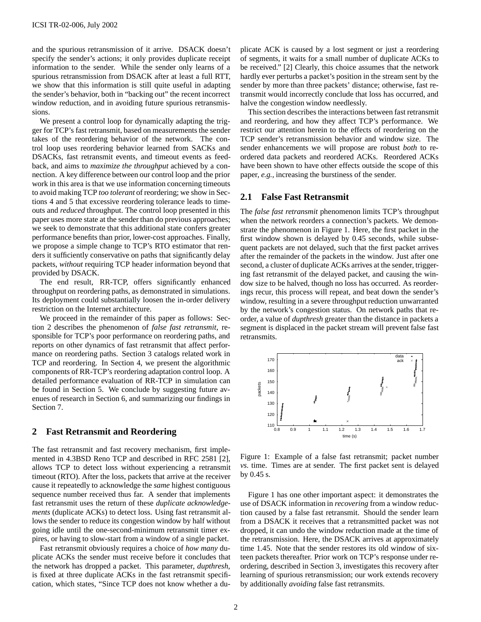and the spurious retransmission of it arrive. DSACK doesn't specify the sender's actions; it only provides duplicate receipt information to the sender. While the sender only learns of a spurious retransmission from DSACK after at least a full RTT, we show that this information is still quite useful in adapting the sender's behavior, both in "backing out" the recent incorrect window reduction, and in avoiding future spurious retransmissions.

We present a control loop for dynamically adapting the trigger for TCP's fast retransmit, based on measurements the sender takes of the reordering behavior of the network. The control loop uses reordering behavior learned from SACKs and DSACKs, fast retransmit events, and timeout events as feedback, and aims to *maximize the throughput* achieved by a connection. A key difference between our control loop and the prior work in this area is that we use information concerning timeouts to avoid making TCP *too tolerant* of reordering; we show in Sections 4 and 5 that excessive reordering tolerance leads to timeouts and *reduced* throughput. The control loop presented in this paper uses more state at the sender than do previous approaches; we seek to demonstrate that this additional state confers greater performance benefits than prior, lower-cost approaches. Finally, we propose a simple change to TCP's RTO estimator that renders it sufficiently conservative on paths that significantly delay packets, *without* requiring TCP header information beyond that provided by DSACK.

The end result, RR-TCP, offers significantly enhanced throughput on reordering paths, as demonstrated in simulations. Its deployment could substantially loosen the in-order delivery restriction on the Internet architecture.

We proceed in the remainder of this paper as follows: Section 2 describes the phenomenon of *false fast retransmit*, responsible for TCP's poor performance on reordering paths, and reports on other dynamics of fast retransmit that affect performance on reordering paths. Section 3 catalogs related work in TCP and reordering. In Section 4, we present the algorithmic components of RR-TCP's reordering adaptation control loop. A detailed performance evaluation of RR-TCP in simulation can be found in Section 5. We conclude by suggesting future avenues of research in Section 6, and summarizing our findings in Section 7.

## **2 Fast Retransmit and Reordering**

The fast retransmit and fast recovery mechanism, first implemented in 4.3BSD Reno TCP and described in RFC 2581 [2], allows TCP to detect loss without experiencing a retransmit timeout (RTO). After the loss, packets that arrive at the receiver cause it repeatedly to acknowledge the *same* highest contiguous sequence number received thus far. A sender that implements fast retransmit uses the return of these *duplicate acknowledgements* (duplicate ACKs) to detect loss. Using fast retransmit allows the sender to reduce its congestion window by half without going idle until the one-second-minimum retransmit timer expires, or having to slow-start from a window of a single packet.

Fast retransmit obviously requires a choice of *how many* duplicate ACKs the sender must receive before it concludes that the network has dropped a packet. This parameter, *dupthresh*, is fixed at three duplicate ACKs in the fast retransmit specification, which states, "Since TCP does not know whether a duplicate ACK is caused by a lost segment or just a reordering of segments, it waits for a small number of duplicate ACKs to be received." [2] Clearly, this choice assumes that the network hardly ever perturbs a packet's position in the stream sent by the sender by more than three packets' distance; otherwise, fast retransmit would incorrectly conclude that loss has occurred, and halve the congestion window needlessly.

This section describes the interactions between fast retransmit and reordering, and how they affect TCP's performance. We restrict our attention herein to the effects of reordering on the TCP sender's retransmission behavior and window size. The sender enhancements we will propose are robust *both* to reordered data packets and reordered ACKs. Reordered ACKs have been shown to have other effects outside the scope of this paper, *e.g.,* increasing the burstiness of the sender.

## **2.1 False Fast Retransmit**

The *false fast retransmit* phenomenon limits TCP's throughput when the network reorders a connection's packets. We demonstrate the phenomenon in Figure 1. Here, the first packet in the first window shown is delayed by 0.45 seconds, while subsequent packets are not delayed, such that the first packet arrives after the remainder of the packets in the window. Just after one second, a cluster of duplicate ACKs arrives at the sender, triggering fast retransmit of the delayed packet, and causing the window size to be halved, though no loss has occurred. As reorderings recur, this process will repeat, and beat down the sender's window, resulting in a severe throughput reduction unwarranted by the network's congestion status. On network paths that reorder, a value of *dupthresh* greater than the distance in packets a segment is displaced in the packet stream will prevent false fast retransmits.



Figure 1: Example of a false fast retransmit; packet number *vs.* time. Times are at sender. The first packet sent is delayed by 0.45 s.

Figure 1 has one other important aspect: it demonstrates the use of DSACK information in *recovering* from a window reduction caused by a false fast retransmit. Should the sender learn from a DSACK it receives that a retransmitted packet was not dropped, it can undo the window reduction made at the time of the retransmission. Here, the DSACK arrives at approximately time 1.45. Note that the sender restores its old window of sixteen packets thereafter. Prior work on TCP's response under reordering, described in Section 3, investigates this recovery after learning of spurious retransmission; our work extends recovery by additionally *avoiding* false fast retransmits.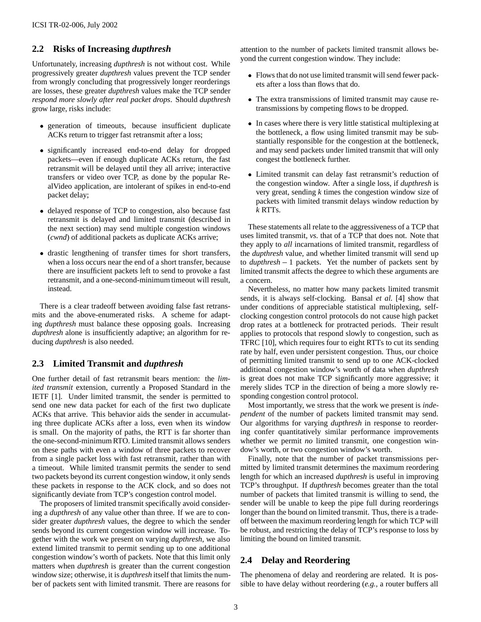# **2.2 Risks of Increasing** *dupthresh*

Unfortunately, increasing *dupthresh* is not without cost. While progressively greater *dupthresh* values prevent the TCP sender from wrongly concluding that progressively longer reorderings are losses, these greater *dupthresh* values make the TCP sender *respond more slowly after real packet drops*. Should *dupthresh* grow large, risks include:

- generation of timeouts, because insufficient duplicate ACKs return to trigger fast retransmit after a loss;
- significantly increased end-to-end delay for dropped packets—even if enough duplicate ACKs return, the fast retransmit will be delayed until they all arrive; interactive transfers or video over TCP, as done by the popular RealVideo application, are intolerant of spikes in end-to-end packet delay;
- delayed response of TCP to congestion, also because fast retransmit is delayed and limited transmit (described in the next section) may send multiple congestion windows (*cwnd*) of additional packets as duplicate ACKs arrive;
- drastic lengthening of transfer times for short transfers, when a loss occurs near the end of a short transfer, because there are insufficient packets left to send to provoke a fast retransmit, and a one-second-minimum timeout will result, instead.

There is a clear tradeoff between avoiding false fast retransmits and the above-enumerated risks. A scheme for adapting *dupthresh* must balance these opposing goals. Increasing *dupthresh* alone is insufficiently adaptive; an algorithm for reducing *dupthresh* is also needed.

# **2.3 Limited Transmit and** *dupthresh*

One further detail of fast retransmit bears mention: the *limited transmit* extension, currently a Proposed Standard in the IETF [1]. Under limited transmit, the sender is permitted to send one new data packet for each of the first two duplicate ACKs that arrive. This behavior aids the sender in accumulating three duplicate ACKs after a loss, even when its window is small. On the majority of paths, the RTT is far shorter than the one-second-minimum RTO. Limited transmit allows senders on these paths with even a window of three packets to recover from a single packet loss with fast retransmit, rather than with a timeout. While limited transmit permits the sender to send two packets beyond its current congestion window, it only sends these packets in response to the ACK clock, and so does not significantly deviate from TCP's congestion control model.

The proposers of limited transmit specifically avoid considering a *dupthresh* of any value other than three. If we are to consider greater *dupthresh* values, the degree to which the sender sends beyond its current congestion window will increase. Together with the work we present on varying *dupthresh*, we also extend limited transmit to permit sending up to one additional congestion window's worth of packets. Note that this limit only matters when *dupthresh* is greater than the current congestion window size; otherwise, it is *dupthresh* itself that limits the number of packets sent with limited transmit. There are reasons for

attention to the number of packets limited transmit allows beyond the current congestion window. They include:

- Flows that do not use limited transmit will send fewer packets after a loss than flows that do.
- The extra transmissions of limited transmit may cause retransmissions by competing flows to be dropped.
- In cases where there is very little statistical multiplexing at the bottleneck, a flow using limited transmit may be substantially responsible for the congestion at the bottleneck, and may send packets under limited transmit that will only congest the bottleneck further.
- Limited transmit can delay fast retransmit's reduction of the congestion window. After a single loss, if *dupthresh* is very great, sending *k* times the congestion window size of packets with limited transmit delays window reduction by *k* RTTs.

These statements all relate to the aggressiveness of a TCP that uses limited transmit, *vs.* that of a TCP that does not. Note that they apply to *all* incarnations of limited transmit, regardless of the *dupthresh* value, and whether limited transmit will send up to *dupthresh* – 1 packets. Yet the number of packets sent by limited transmit affects the degree to which these arguments are a concern.

Nevertheless, no matter how many packets limited transmit sends, it is always self-clocking. Bansal *et al.* [4] show that under conditions of appreciable statistical multiplexing, selfclocking congestion control protocols do not cause high packet drop rates at a bottleneck for protracted periods. Their result applies to protocols that respond slowly to congestion, such as TFRC [10], which requires four to eight RTTs to cut its sending rate by half, even under persistent congestion. Thus, our choice of permitting limited transmit to send up to one ACK-clocked additional congestion window's worth of data when *dupthresh* is great does not make TCP significantly more aggressive; it merely slides TCP in the direction of being a more slowly responding congestion control protocol.

Most importantly, we stress that the work we present is *independent* of the number of packets limited transmit may send. Our algorithms for varying *dupthresh* in response to reordering confer quantitatively similar performance improvements whether we permit *no* limited transmit, one congestion window's worth, or two congestion window's worth.

Finally, note that the number of packet transmissions permitted by limited transmit determines the maximum reordering length for which an increased *dupthresh* is useful in improving TCP's throughput. If *dupthresh* becomes greater than the total number of packets that limited transmit is willing to send, the sender will be unable to keep the pipe full during reorderings longer than the bound on limited transmit. Thus, there is a tradeoff between the maximum reordering length for which TCP will be robust, and restricting the delay of TCP's response to loss by limiting the bound on limited transmit.

# **2.4 Delay and Reordering**

The phenomena of delay and reordering are related. It is possible to have delay without reordering (*e.g.,* a router buffers all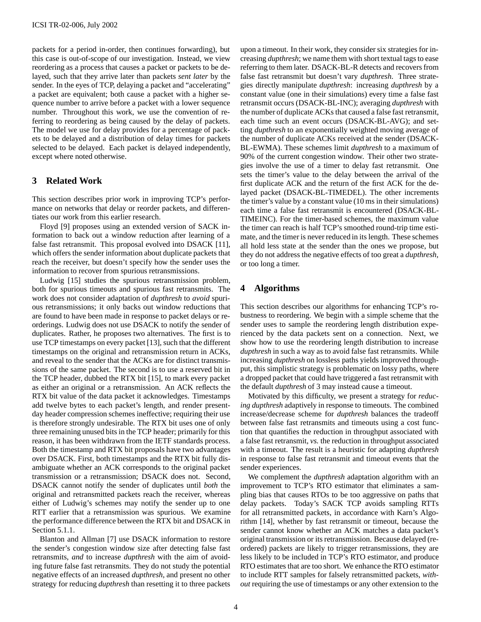packets for a period in-order, then continues forwarding), but this case is out-of-scope of our investigation. Instead, we view reordering as a process that causes a packet or packets to be delayed, such that they arrive later than packets *sent later* by the sender. In the eyes of TCP, delaying a packet and "accelerating" a packet are equivalent; both cause a packet with a higher sequence number to arrive before a packet with a lower sequence number. Throughout this work, we use the convention of referring to reordering as being caused by the delay of packets. The model we use for delay provides for a percentage of packets to be delayed and a distribution of delay times for packets selected to be delayed. Each packet is delayed independently, except where noted otherwise.

# **3 Related Work**

This section describes prior work in improving TCP's performance on networks that delay or reorder packets, and differentiates our work from this earlier research.

Floyd [9] proposes using an extended version of SACK information to back out a window reduction after learning of a false fast retransmit. This proposal evolved into DSACK [11], which offers the sender information about duplicate packets that reach the receiver, but doesn't specify how the sender uses the information to recover from spurious retransmissions.

Ludwig [15] studies the spurious retransmission problem, both for spurious timeouts and spurious fast retransmits. The work does not consider adaptation of *dupthresh* to *avoid* spurious retransmissions; it only backs out window reductions that are found to have been made in response to packet delays or reorderings. Ludwig does not use DSACK to notify the sender of duplicates. Rather, he proposes two alternatives. The first is to use TCP timestamps on every packet [13], such that the different timestamps on the original and retransmission return in ACKs, and reveal to the sender that the ACKs are for distinct transmissions of the same packet. The second is to use a reserved bit in the TCP header, dubbed the RTX bit [15], to mark every packet as either an original or a retransmission. An ACK reflects the RTX bit value of the data packet it acknowledges. Timestamps add twelve bytes to each packet's length, and render presentday header compression schemes ineffective; requiring their use is therefore strongly undesirable. The RTX bit uses one of only three remaining unused bits in the TCP header; primarily for this reason, it has been withdrawn from the IETF standards process. Both the timestamp and RTX bit proposals have two advantages over DSACK. First, both timestamps and the RTX bit fully disambiguate whether an ACK corresponds to the original packet transmission or a retransmission; DSACK does not. Second, DSACK cannot notify the sender of duplicates until *both* the original and retransmitted packets reach the receiver, whereas either of Ludwig's schemes may notify the sender up to one RTT earlier that a retransmission was spurious. We examine the performance difference between the RTX bit and DSACK in Section 5.1.1.

Blanton and Allman [7] use DSACK information to restore the sender's congestion window size after detecting false fast retransmits, *and* to increase *dupthresh* with the aim of avoiding future false fast retransmits. They do not study the potential negative effects of an increased *dupthresh*, and present no other strategy for reducing *dupthresh* than resetting it to three packets upon a timeout. In their work, they consider six strategies for increasing *dupthresh*; we name them with short textual tags to ease referring to them later. DSACK-BL-R detects and recovers from false fast retransmit but doesn't vary *dupthresh*. Three strategies directly manipulate *dupthresh*: increasing *dupthresh* by a constant value (one in their simulations) every time a false fast retransmit occurs (DSACK-BL-INC); averaging *dupthresh* with the number of duplicate ACKs that caused a false fast retransmit, each time such an event occurs (DSACK-BL-AVG); and setting *dupthresh* to an exponentially weighted moving average of the number of duplicate ACKs received at the sender (DSACK-BL-EWMA). These schemes limit *dupthresh* to a maximum of 90% of the current congestion window. Their other two strategies involve the use of a timer to delay fast retransmit. One sets the timer's value to the delay between the arrival of the first duplicate ACK and the return of the first ACK for the delayed packet (DSACK-BL-TIMEDEL). The other increments the timer's value by a constant value (10 ms in their simulations) each time a false fast retransmit is encountered (DSACK-BL-TIMEINC). For the timer-based schemes, the maximum value the timer can reach is half TCP's smoothed round-trip time estimate, and the timer is never reduced in its length. These schemes all hold less state at the sender than the ones we propose, but they do not address the negative effects of too great a *dupthresh*, or too long a timer.

# **4 Algorithms**

This section describes our algorithms for enhancing TCP's robustness to reordering. We begin with a simple scheme that the sender uses to sample the reordering length distribution experienced by the data packets sent on a connection. Next, we show how to use the reordering length distribution to increase *dupthresh* in such a way as to avoid false fast retransmits. While increasing *dupthresh* on lossless paths yields improved throughput, this simplistic strategy is problematic on lossy paths, where a dropped packet that could have triggered a fast retransmit with the default *dupthresh* of 3 may instead cause a timeout.

Motivated by this difficulty, we present a strategy for *reducing dupthresh* adaptively in response to timeouts. The combined increase/decrease scheme for *dupthresh* balances the tradeoff between false fast retransmits and timeouts using a cost function that quantifies the reduction in throughput associated with a false fast retransmit, *vs.* the reduction in throughput associated with a timeout. The result is a heuristic for adapting *dupthresh* in response to false fast retransmit and timeout events that the sender experiences.

We complement the *dupthresh* adaptation algorithm with an improvement to TCP's RTO estimator that eliminates a sampling bias that causes RTOs to be too aggressive on paths that delay packets. Today's SACK TCP avoids sampling RTTs for all retransmitted packets, in accordance with Karn's Algorithm [14], whether by fast retransmit or timeout, because the sender cannot know whether an ACK matches a data packet's original transmission or its retransmission. Because delayed (reordered) packets are likely to trigger retransmissions, they are less likely to be included in TCP's RTO estimator, and produce RTO estimates that are too short. We enhance the RTO estimator to include RTT samples for falsely retransmitted packets, *without* requiring the use of timestamps or any other extension to the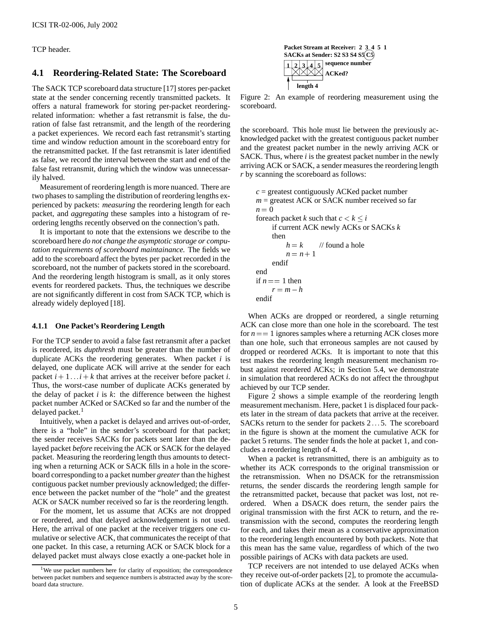TCP header.

# **4.1 Reordering-Related State: The Scoreboard**

The SACK TCP scoreboard data structure [17] stores per-packet state at the sender concerning recently transmitted packets. It offers a natural framework for storing per-packet reorderingrelated information: whether a fast retransmit is false, the duration of false fast retransmit, and the length of the reordering a packet experiences. We record each fast retransmit's starting time and window reduction amount in the scoreboard entry for the retransmitted packet. If the fast retransmit is later identified as false, we record the interval between the start and end of the false fast retransmit, during which the window was unnecessarily halved.

Measurement of reordering length is more nuanced. There are two phases to sampling the distribution of reordering lengths experienced by packets: *measuring* the reordering length for each packet, and *aggregating* these samples into a histogram of reordering lengths recently observed on the connection's path.

It is important to note that the extensions we describe to the scoreboard here *do not change the asymptotic storage or computation requirements of scoreboard maintainance.* The fields we add to the scoreboard affect the bytes per packet recorded in the scoreboard, not the number of packets stored in the scoreboard. And the reordering length histogram is small, as it only stores events for reordered packets. Thus, the techniques we describe are not significantly different in cost from SACK TCP, which is already widely deployed [18].

#### **4.1.1 One Packet's Reordering Length**

For the TCP sender to avoid a false fast retransmit after a packet is reordered, its *dupthresh* must be greater than the number of duplicate ACKs the reordering generates. When packet *i* is delayed, one duplicate ACK will arrive at the sender for each packet  $i + 1$  ::  $i + k$  that arrives at the receiver before packet *i*. Thus, the worst-case number of duplicate ACKs generated by the delay of packet  $i$  is  $k$ : the difference between the highest packet number ACKed or SACKed so far and the number of the delayed packet.<sup>1</sup>

Intuitively, when a packet is delayed and arrives out-of-order, there is a "hole" in the sender's scoreboard for that packet; the sender receives SACKs for packets sent later than the delayed packet *before* receiving the ACK or SACK for the delayed packet. Measuring the reordering length thus amounts to detecting when a returning ACK or SACK fills in a hole in the scoreboard corresponding to a packet number *greater*than the highest contiguous packet number previously acknowledged; the difference between the packet number of the "hole" and the greatest ACK or SACK number received so far is the reordering length.

For the moment, let us assume that ACKs are not dropped or reordered, and that delayed acknowledgement is not used. Here, the arrival of one packet at the receiver triggers one cumulative or selective ACK, that communicates the receipt of that one packet. In this case, a returning ACK or SACK block for a delayed packet must always close exactly a one-packet hole in



Figure 2: An example of reordering measurement using the scoreboard.

the scoreboard. This hole must lie between the previously acknowledged packet with the greatest contiguous packet number and the greatest packet number in the newly arriving ACK or SACK. Thus, where *i* is the greatest packet number in the newly arriving ACK or SACK, a sender measures the reordering length *r* by scanning the scoreboard as follows:

```
c = greatest contiguously ACKed packet number
m = greatest ACK or SACK number received so far
n = 0foreach packet k such that c < k \leq iif current ACK newly ACKs or SACKs k
    then
         h = k // found a hole
         n = n + 1endif
end
if n == 1 then
    r = m - hendif
```
When ACKs are dropped or reordered, a single returning ACK can close more than one hole in the scoreboard. The test for  $n = 1$  ignores samples where a returning ACK closes more than one hole, such that erroneous samples are not caused by dropped or reordered ACKs. It is important to note that this test makes the reordering length measurement mechanism robust against reordered ACKs; in Section 5.4, we demonstrate in simulation that reordered ACKs do not affect the throughput achieved by our TCP sender.

Figure 2 shows a simple example of the reordering length measurement mechanism. Here, packet 1 is displaced four packets later in the stream of data packets that arrive at the receiver. SACKs return to the sender for packets 2... 5. The scoreboard in the figure is shown at the moment the cumulative ACK for packet 5 returns. The sender finds the hole at packet 1, and concludes a reordering length of 4.

When a packet is retransmitted, there is an ambiguity as to whether its ACK corresponds to the original transmission or the retransmission. When no DSACK for the retransmission returns, the sender discards the reordering length sample for the retransmitted packet, because that packet was lost, not reordered. When a DSACK does return, the sender pairs the original transmission with the first ACK to return, and the retransmission with the second, computes the reordering length for each, and takes their mean as a conservative approximation to the reordering length encountered by both packets. Note that this mean has the same value, regardless of which of the two possible pairings of ACKs with data packets are used.

TCP receivers are not intended to use delayed ACKs when they receive out-of-order packets [2], to promote the accumulation of duplicate ACKs at the sender. A look at the FreeBSD

We use packet numbers here for clarity of exposition; the correspondence between packet numbers and sequence numbers is abstracted away by the scoreboard data structure.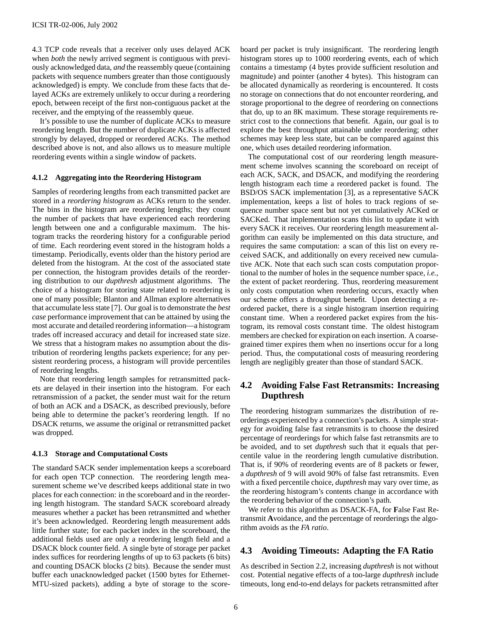4.3 TCP code reveals that a receiver only uses delayed ACK when *both* the newly arrived segment is contiguous with previously acknowledged data, *and* the reassembly queue (containing packets with sequence numbers greater than those contiguously acknowledged) is empty. We conclude from these facts that delayed ACKs are extremely unlikely to occur during a reordering epoch, between receipt of the first non-contiguous packet at the receiver, and the emptying of the reassembly queue.

It's possible to use the number of duplicate ACKs to measure reordering length. But the number of duplicate ACKs is affected strongly by delayed, dropped or reordered ACKs. The method described above is not, and also allows us to measure multiple reordering events within a single window of packets.

#### **4.1.2 Aggregating into the Reordering Histogram**

Samples of reordering lengths from each transmitted packet are stored in a *reordering histogram* as ACKs return to the sender. The bins in the histogram are reordering lengths; they count the number of packets that have experienced each reordering length between one and a configurable maximum. The histogram tracks the reordering history for a configurable period of time. Each reordering event stored in the histogram holds a timestamp. Periodically, events older than the history period are deleted from the histogram. At the cost of the associated state per connection, the histogram provides details of the reordering distribution to our *dupthresh* adjustment algorithms. The choice of a histogram for storing state related to reordering is one of many possible; Blanton and Allman explore alternatives that accumulate less state [7]. Our goal is to demonstrate the *best case* performance improvement that can be attained by using the most accurate and detailed reordering information—a histogram trades off increased accuracy and detail for increased state size. We stress that a histogram makes no assumption about the distribution of reordering lengths packets experience; for any persistent reordering process, a histogram will provide percentiles of reordering lengths.

Note that reordering length samples for retransmitted packets are delayed in their insertion into the histogram. For each retransmission of a packet, the sender must wait for the return of both an ACK and a DSACK, as described previously, before being able to determine the packet's reordering length. If no DSACK returns, we assume the original or retransmitted packet was dropped.

#### **4.1.3 Storage and Computational Costs**

The standard SACK sender implementation keeps a scoreboard for each open TCP connection. The reordering length measurement scheme we've described keeps additional state in two places for each connection: in the scoreboard and in the reordering length histogram. The standard SACK scoreboard already measures whether a packet has been retransmitted and whether it's been acknowledged. Reordering length measurement adds little further state; for each packet index in the scoreboard, the additional fields used are only a reordering length field and a DSACK block counter field. A single byte of storage per packet index suffices for reordering lengths of up to 63 packets (6 bits) and counting DSACK blocks (2 bits). Because the sender must buffer each unacknowledged packet (1500 bytes for Ethernet-MTU-sized packets), adding a byte of storage to the scoreboard per packet is truly insignificant. The reordering length histogram stores up to 1000 reordering events, each of which contains a timestamp (4 bytes provide sufficient resolution and magnitude) and pointer (another 4 bytes). This histogram can be allocated dynamically as reordering is encountered. It costs no storage on connections that do not encounter reordering, and storage proportional to the degree of reordering on connections that do, up to an 8K maximum. These storage requirements restrict cost to the connections that benefit. Again, our goal is to explore the best throughput attainable under reordering; other schemes may keep less state, but can be compared against this one, which uses detailed reordering information.

The computational cost of our reordering length measurement scheme involves scanning the scoreboard on receipt of each ACK, SACK, and DSACK, and modifying the reordering length histogram each time a reordered packet is found. The BSD/OS SACK implementation [3], as a representative SACK implementation, keeps a list of holes to track regions of sequence number space sent but not yet cumulatively ACKed or SACKed. That implementation scans this list to update it with every SACK it receives. Our reordering length measurement algorithm can easily be implemented on this data structure, and requires the same computation: a scan of this list on every received SACK, and additionally on every received new cumulative ACK. Note that each such scan costs computation proportional to the number of holes in the sequence number space, *i.e.,* the extent of packet reordering. Thus, reordering measurement only costs computation when reordering occurs, exactly when our scheme offers a throughput benefit. Upon detecting a reordered packet, there is a single histogram insertion requiring constant time. When a reordered packet expires from the histogram, its removal costs constant time. The oldest histogram members are checked for expiration on each insertion. A coarsegrained timer expires them when no insertions occur for a long period. Thus, the computational costs of measuring reordering length are negligibly greater than those of standard SACK.

# **4.2 Avoiding False Fast Retransmits: Increasing Dupthresh**

The reordering histogram summarizes the distribution of reorderings experienced by a connection's packets. A simple strategy for avoiding false fast retransmits is to choose the desired percentage of reorderings for which false fast retransmits are to be avoided, and to set *dupthresh* such that it equals that percentile value in the reordering length cumulative distribution. That is, if 90% of reordering events are of 8 packets or fewer, a *dupthresh* of 9 will avoid 90% of false fast retransmits. Even with a fixed percentile choice, *dupthresh* may vary over time, as the reordering histogram's contents change in accordance with the reordering behavior of the connection's path.

We refer to this algorithm as DSACK-FA, for **F**alse Fast Retransmit **A**voidance, and the percentage of reorderings the algorithm avoids as the *FA ratio*.

# **4.3 Avoiding Timeouts: Adapting the FA Ratio**

As described in Section 2.2, increasing *dupthresh* is not without cost. Potential negative effects of a too-large *dupthresh* include timeouts, long end-to-end delays for packets retransmitted after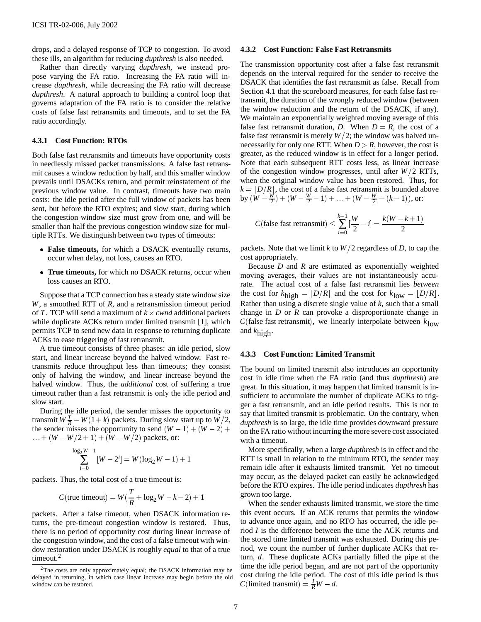drops, and a delayed response of TCP to congestion. To avoid these ills, an algorithm for reducing *dupthresh* is also needed.

Rather than directly varying *dupthresh*, we instead propose varying the FA ratio. Increasing the FA ratio will increase *dupthresh*, while decreasing the FA ratio will decrease *dupthresh*. A natural approach to building a control loop that governs adaptation of the FA ratio is to consider the relative costs of false fast retransmits and timeouts, and to set the FA ratio accordingly.

#### **4.3.1 Cost Function: RTOs**

Both false fast retransmits and timeouts have opportunity costs in needlessly missed packet transmissions. A false fast retransmit causes a window reduction by half, and this smaller window prevails until DSACKs return, and permit reinstatement of the previous window value. In contrast, timeouts have two main costs: the idle period after the full window of packets has been sent, but before the RTO expires; and slow start, during which the congestion window size must grow from one, and will be smaller than half the previous congestion window size for multiple RTTs. We distinguish between two types of timeouts:

- **False timeouts,** for which a DSACK eventually returns, occur when delay, not loss, causes an RTO.
- **True timeouts,** for which no DSACK returns, occur when loss causes an RTO.

Suppose that a TCP connection has a steady state window size *W*, a smoothed RTT of *R*, and a retransmission timeout period of *T*. TCP will send a maximum of  $k \times \text{cwnd}$  additional packets while duplicate ACKs return under limited transmit [1], which permits TCP to send new data in response to returning duplicate ACKs to ease triggering of fast retransmit.

A true timeout consists of three phases: an idle period, slow start, and linear increase beyond the halved window. Fast retransmits reduce throughput less than timeouts; they consist only of halving the window, and linear increase beyond the halved window. Thus, the *additional* cost of suffering a true timeout rather than a fast retransmit is only the idle period and slow start.

During the idle period, the sender misses the opportunity to transmit  $W\frac{T}{R} - W(1 + k)$  packets. During slow start up to  $W/2$ , the sender misses the opportunity to send  $(W - 1) + (W - 2) +$  $... + (W - W/2 + 1) + (W - W/2)$  packets, or:

$$
\sum_{i=0}^{\log_2 W - 1} [W - 2^i] = W(\log_2 W - 1) + 1
$$

packets. Thus, the total cost of a true timeout is:

$$
C(\text{true timeout}) = W(\frac{T}{R} + \log_2 W - k - 2) + 1
$$
g

packets. After a false timeout, when DSACK information returns, the pre-timeout congestion window is restored. Thus, there is no period of opportunity cost during linear increase of the congestion window, and the cost of a false timeout with window restoration under DSACK is roughly *equal* to that of a true timeout.<sup>2</sup>

#### **4.3.2 Cost Function: False Fast Retransmits**

The transmission opportunity cost after a false fast retransmit depends on the interval required for the sender to receive the DSACK that identifies the fast retransmit as false. Recall from Section 4.1 that the scoreboard measures, for each false fast retransmit, the duration of the wrongly reduced window (between the window reduction and the return of the DSACK, if any). We maintain an exponentially weighted moving average of this false fast retransmit duration, *D*. When  $D = R$ , the cost of a false fast retransmit is merely  $W/2$ ; the window was halved unnecessarily for only one RTT. When  $D > R$ , however, the cost is greater, as the reduced window is in effect for a longer period. Note that each subsequent RTT costs less, as linear increase of the congestion window progresses, until after  $W/2$  RTTs, when the original window value has been restored. Thus, for  $k = \lfloor D/R \rfloor$ , the cost of a false fast retransmit is bounded above by  $(W - \frac{W}{2}) + (W - \frac{W}{2} - 1) + \ldots + (W - \frac{W}{2} - (k - 1)),$  or:

$$
C(\text{false fast retransmit}) \le \sum_{i=0}^{k-1} \left[\frac{W}{2} - i\right] = \frac{k(W - k + 1)}{2}
$$

packets. Note that we limit k to  $W/2$  regardless of D, to cap the cost appropriately.

Because *D* and *R* are estimated as exponentially weighted moving averages, their values are not instantaneously accurate. The actual cost of a false fast retransmit lies *between* the cost for  $k_{\text{high}} = [D/R]$  and the cost for  $k_{\text{low}} = [D/R]$ . Rather than using a discrete single value of *k*, such that a small change in *D* or *R* can provoke a disproportionate change in *C*(false fast retransmit), we linearly interpolate between  $k_{\text{low}}$ and *k*high.

#### **4.3.3 Cost Function: Limited Transmit**

The bound on limited transmit also introduces an opportunity cost in idle time when the FA ratio (and thus *dupthresh*) are great. In this situation, it may happen that limited transmit is insufficient to accumulate the number of duplicate ACKs to trigger a fast retransmit, and an idle period results. This is not to say that limited transmit is problematic. On the contrary, when *dupthresh* is so large, the idle time provides downward pressure on the FA ratio without incurring the more severe cost associated with a timeout.

More specifically, when a large *dupthresh* is in effect and the RTT is small in relation to the minimum RTO, the sender may remain idle after it exhausts limited transmit. Yet no timeout may occur, as the delayed packet can easily be acknowledged before the RTO expires. The idle period indicates *dupthresh* has grown too large.

When the sender exhausts limited transmit, we store the time this event occurs. If an ACK returns that permits the window to advance once again, and no RTO has occurred, the idle period *I* is the difference between the time the ACK returns and the stored time limited transmit was exhausted. During this period, we count the number of further duplicate ACKs that return, *d*. These duplicate ACKs partially filled the pipe at the time the idle period began, and are not part of the opportunity cost during the idle period. The cost of this idle period is thus  $C(\text{limited transmit}) = \frac{I}{R}W - d.$ 

 $2$ The costs are only approximately equal; the DSACK information may be delayed in returning, in which case linear increase may begin before the old window can be restored.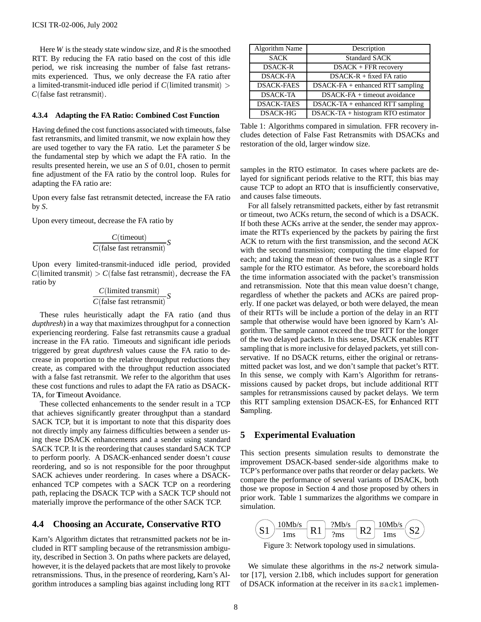Here *W* is the steady state window size, and *R* is the smoothed RTT. By reducing the FA ratio based on the cost of this idle period, we risk increasing the number of false fast retransmits experienced. Thus, we only decrease the FA ratio after a limited-transmit-induced idle period if *C*(limited transmit) <sup>&</sup>gt; *C*(false fast retransmit).

#### **4.3.4 Adapting the FA Ratio: Combined Cost Function**

Having defined the cost functions associated with timeouts, false fast retransmits, and limited transmit, we now explain how they are used together to vary the FA ratio. Let the parameter *S* be the fundamental step by which we adapt the FA ratio. In the results presented herein, we use an *S* of 0.01, chosen to permit fine adjustment of the FA ratio by the control loop. Rules for adapting the FA ratio are:

Upon every false fast retransmit detected, increase the FA ratio by *S*.

Upon every timeout, decrease the FA ratio by

$$
\frac{C(\text{timeout})}{C(\text{false fast retransmit})} S
$$

Upon every limited-transmit-induced idle period, provided  $C$ (limited transmit) >  $C$ (false fast retransmit), decrease the FA ratio by

$$
\frac{C(\text{limited transmit})}{C(\text{false fast retransmit})} S
$$

These rules heuristically adapt the FA ratio (and thus *dupthresh*) in a way that maximizes throughput for a connection experiencing reordering. False fast retransmits cause a gradual increase in the FA ratio. Timeouts and significant idle periods triggered by great *dupthresh* values cause the FA ratio to decrease in proportion to the relative throughput reductions they create, as compared with the throughput reduction associated with a false fast retransmit. We refer to the algorithm that uses these cost functions and rules to adapt the FA ratio as DSACK-TA, for **T**imeout **A**voidance.

These collected enhancements to the sender result in a TCP that achieves significantly greater throughput than a standard SACK TCP, but it is important to note that this disparity does not directly imply any fairness difficulties between a sender using these DSACK enhancements and a sender using standard SACK TCP. It is the reordering that causes standard SACK TCP to perform poorly. A DSACK-enhanced sender doesn't *cause* reordering, and so is not responsible for the poor throughput SACK achieves under reordering. In cases where a DSACKenhanced TCP competes with a SACK TCP on a reordering path, replacing the DSACK TCP with a SACK TCP should not materially improve the performance of the other SACK TCP.

## **4.4 Choosing an Accurate, Conservative RTO**

Karn's Algorithm dictates that retransmitted packets *not* be included in RTT sampling because of the retransmission ambiguity, described in Section 3. On paths where packets are delayed, however, it is the delayed packets that are most likely to provoke retransmissions. Thus, in the presence of reordering, Karn's Algorithm introduces a sampling bias against including long RTT

| Algorithm Name    | Description                        |  |
|-------------------|------------------------------------|--|
| <b>SACK</b>       | <b>Standard SACK</b>               |  |
| <b>DSACK-R</b>    | $DSACK + FFR$ recovery             |  |
| <b>DSACK-FA</b>   | DSACK-R + fixed FA ratio           |  |
| <b>DSACK-FAES</b> | $DSACK-FA + enhanced RTT sampling$ |  |
| <b>DSACK-TA</b>   | DSACK-FA + timeout avoidance       |  |
| <b>DSACK-TAES</b> | $DSACK-TA + enhanced RTT sampling$ |  |
| <b>DSACK-HG</b>   | DSACK-TA + histogram RTO estimator |  |

Table 1: Algorithms compared in simulation. FFR recovery includes detection of False Fast Retransmits with DSACKs and restoration of the old, larger window size.

samples in the RTO estimator. In cases where packets are delayed for significant periods relative to the RTT, this bias may cause TCP to adopt an RTO that is insufficiently conservative, and causes false timeouts.

For all falsely retransmitted packets, either by fast retransmit or timeout, two ACKs return, the second of which is a DSACK. If both these ACKs arrive at the sender, the sender may approximate the RTTs experienced by the packets by pairing the first ACK to return with the first transmission, and the second ACK with the second transmission; computing the time elapsed for each; and taking the mean of these two values as a single RTT sample for the RTO estimator. As before, the scoreboard holds the time information associated with the packet's transmission and retransmission. Note that this mean value doesn't change, regardless of whether the packets and ACKs are paired properly. If one packet was delayed, or both were delayed, the mean of their RTTs will be include a portion of the delay in an RTT sample that otherwise would have been ignored by Karn's Algorithm. The sample cannot exceed the true RTT for the longer of the two delayed packets. In this sense, DSACK enables RTT sampling that is more inclusive for delayed packets, yet still conservative. If no DSACK returns, either the original or retransmitted packet was lost, and we don't sample that packet's RTT. In this sense, we comply with Karn's Algorithm for retransmissions caused by packet drops, but include additional RTT samples for retransmissions caused by packet delays. We term this RTT sampling extension DSACK-ES, for **E**nhanced RTT **S**ampling.

#### **5 Experimental Evaluation**

This section presents simulation results to demonstrate the improvement DSACK-based sender-side algorithms make to TCP's performance over paths that reorder or delay packets. We compare the performance of several variants of DSACK, both those we propose in Section 4 and those proposed by others in prior work. Table 1 summarizes the algorithms we compare in simulation.



We simulate these algorithms in the *ns-2* network simulator [17], version 2.1b8, which includes support for generation of DSACK information at the receiver in its sack1 implemen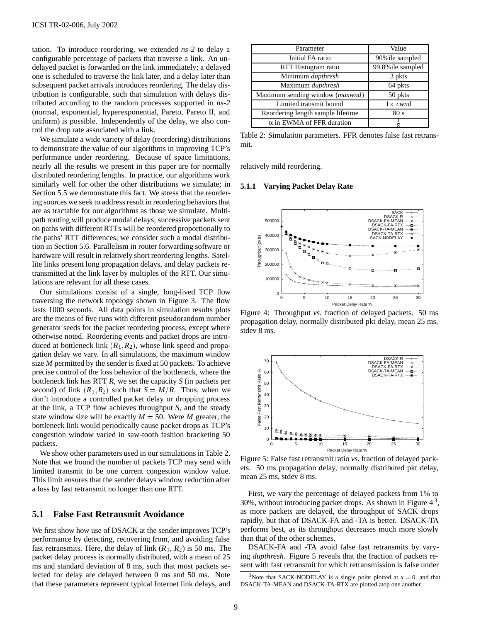tation. To introduce reordering, we extended *ns-2* to delay a configurable percentage of packets that traverse a link. An undelayed packet is forwarded on the link immediately; a delayed one is scheduled to traverse the link later, and a delay later than subsequent packet arrivals introduces reordering. The delay distribution is configurable, such that simulation with delays distributed according to the random processes supported in *ns-2* (normal, exponential, hyperexponential, Pareto, Pareto II, and uniform) is possible. Independently of the delay, we also control the drop rate associated with a link.

We simulate a wide variety of delay (reordering) distributions to demonstrate the value of our algorithms in improving TCP's performance under reordering. Because of space limitations, nearly all the results we present in this paper are for normally distributed reordering lengths. In practice, our algorithms work similarly well for other the other distributions we simulate; in Section 5.5 we demonstrate this fact. We stress that the reordering sources we seek to address result in reordering behaviors that are as tractable for our algorithms as those we simulate. Multipath routing will produce modal delays; successive packets sent on paths with different RTTs will be reordered proportionally to the paths' RTT differences; we consider such a modal distribution in Section 5.6. Parallelism in router forwarding software or hardware will result in relatively short reordering lengths. Satellite links present long propagation delays, and delay packets retransmitted at the link layer by multiples of the RTT. Our simulations are relevant for all these cases.

Our simulations consist of a single, long-lived TCP flow traversing the network topology shown in Figure 3. The flow lasts 1000 seconds. All data points in simulation results plots are the means of five runs with different pseudorandom number generator seeds for the packet reordering process, except where otherwise noted. Reordering events and packet drops are introduced at bottleneck link  $(R_1, R_2)$ , whose link speed and propagation delay we vary. In all simulations, the maximum window size *M* permitted by the sender is fixed at 50 packets. To achieve precise control of the loss behavior of the bottleneck, where the bottleneck link has RTT *R*, we set the capacity *S* (in packets per second) of link  $(R_1, R_2)$  such that  $S = M/R$ . Thus, when we don't introduce a controlled packet delay or dropping process at the link, a TCP flow achieves throughput *S*, and the steady state window size will be exactly  $M = 50$ . Were M greater, the bottleneck link would periodically cause packet drops as TCP's congestion window varied in saw-tooth fashion bracketing 50 packets.

We show other parameters used in our simulations in Table 2. Note that we bound the number of packets TCP may send with limited transmit to be one current congestion window value. This limit ensures that the sender delays window reduction after a loss by fast retransmit no longer than one RTT.

#### **5.1 False Fast Retransmit Avoidance**

We first show how use of DSACK at the sender improves TCP's performance by detecting, recovering from, and avoiding false fast retransmits. Here, the delay of link  $(R_1, R_2)$  is 50 ms. The packet delay process is normally distributed, with a mean of 25 ms and standard deviation of 8 ms, such that most packets selected for delay are delayed between 0 ms and 50 ms. Note that these parameters represent typical Internet link delays, and

| Parameter                         | Value             |  |
|-----------------------------------|-------------------|--|
| Initial FA ratio                  | 90% ile sampled   |  |
| RTT Histogram ratio               | 99.8% ile sampled |  |
| Minimum dupthresh                 | 3 pkts            |  |
| Maximum dupthresh                 | 64 pkts           |  |
| Maximum sending window (maxwnd)   | 50 pkts           |  |
| Limited transmit bound            | $1 \times cwnd$   |  |
| Reordering length sample lifetime | 80 s              |  |
| $\alpha$ in EWMA of FFR duration  |                   |  |

Table 2: Simulation parameters. FFR denotes false fast retransmit.

relatively mild reordering.

#### **5.1.1 Varying Packet Delay Rate**



Figure 4: Throughput *vs.* fraction of delayed packets. 50 ms propagation delay, normally distributed pkt delay, mean 25 ms, stdev 8 ms.



Figure 5: False fast retransmit ratio *vs.* fraction of delayed packets. 50 ms propagation delay, normally distributed pkt delay, mean 25 ms, stdev 8 ms.

First, we vary the percentage of delayed packets from 1% to 30%, without introducing packet drops. As shown in Figure  $4^3$ , as more packets are delayed, the throughput of SACK drops rapidly, but that of DSACK-FA and -TA is better. DSACK-TA performs best, as its throughput decreases much more slowly than that of the other schemes.

DSACK-FA and -TA avoid false fast retransmits by varying *dupthresh*. Figure 5 reveals that the fraction of packets resent with fast retransmit for which retransmission is false under

<sup>&</sup>lt;sup>3</sup>Note that SACK-NODELAY is a single point plotted at  $x = 0$ , and that DSACK-TA-MEAN and DSACK-TA-RTX are plotted atop one another.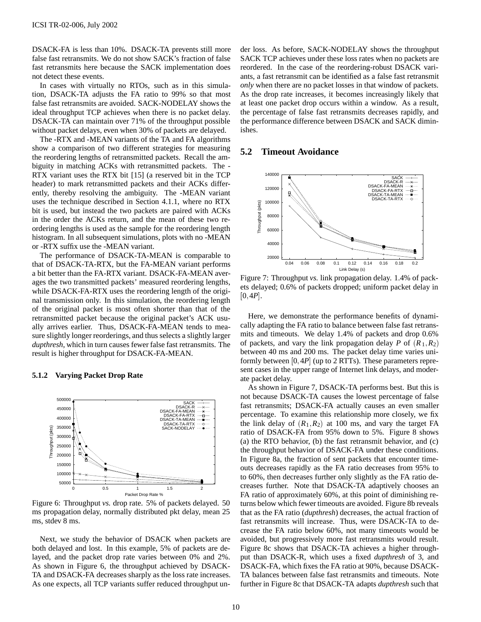DSACK-FA is less than 10%. DSACK-TA prevents still more false fast retransmits. We do not show SACK's fraction of false fast retransmits here because the SACK implementation does not detect these events.

In cases with virtually no RTOs, such as in this simulation, DSACK-TA adjusts the FA ratio to 99% so that most false fast retransmits are avoided. SACK-NODELAY shows the ideal throughput TCP achieves when there is no packet delay. DSACK-TA can maintain over 71% of the throughput possible without packet delays, even when 30% of packets are delayed.

The -RTX and -MEAN variants of the TA and FA algorithms show a comparison of two different strategies for measuring the reordering lengths of retransmitted packets. Recall the ambiguity in matching ACKs with retransmitted packets. The - RTX variant uses the RTX bit [15] (a reserved bit in the TCP header) to mark retransmitted packets and their ACKs differently, thereby resolving the ambiguity. The -MEAN variant uses the technique described in Section 4.1.1, where no RTX bit is used, but instead the two packets are paired with ACKs in the order the ACKs return, and the mean of these two reordering lengths is used as the sample for the reordering length histogram. In all subsequent simulations, plots with no -MEAN or -RTX suffix use the -MEAN variant.

The performance of DSACK-TA-MEAN is comparable to that of DSACK-TA-RTX, but the FA-MEAN variant performs a bit better than the FA-RTX variant. DSACK-FA-MEAN averages the two transmitted packets' measured reordering lengths, while DSACK-FA-RTX uses the reordering length of the original transmission only. In this simulation, the reordering length of the original packet is most often shorter than that of the retransmitted packet because the original packet's ACK usually arrives earlier. Thus, DSACK-FA-MEAN tends to measure slightly longer reorderings, and thus selects a slightly larger *dupthresh*, which in turn causes fewer false fast retransmits. The result is higher throughput for DSACK-FA-MEAN.

#### **5.1.2 Varying Packet Drop Rate**



Figure 6: Throughput *vs.* drop rate. 5% of packets delayed. 50 ms propagation delay, normally distributed pkt delay, mean 25 ms, stdev 8 ms.

Next, we study the behavior of DSACK when packets are both delayed and lost. In this example, 5% of packets are delayed, and the packet drop rate varies between 0% and 2%. As shown in Figure 6, the throughput achieved by DSACK-TA and DSACK-FA decreases sharply as the loss rate increases. As one expects, all TCP variants suffer reduced throughput under loss. As before, SACK-NODELAY shows the throughput SACK TCP achieves under these loss rates when no packets are reordered. In the case of the reordering-robust DSACK variants, a fast retransmit can be identified as a false fast retransmit *only* when there are no packet losses in that window of packets. As the drop rate increases, it becomes increasingly likely that at least one packet drop occurs within a window. As a result, the percentage of false fast retransmits decreases rapidly, and the performance difference between DSACK and SACK diminishes.

# **5.2 Timeout Avoidance**



Figure 7: Throughput *vs.* link propagation delay. 1.4% of packets delayed; 0.6% of packets dropped; uniform packet delay in  $[0, 4P]$ .

Here, we demonstrate the performance benefits of dynamically adapting the FA ratio to balance between false fast retransmits and timeouts. We delay 1.4% of packets and drop 0.6% of packets, and vary the link propagation delay *P* of  $(R_1, R_2)$ between 40 ms and 200 ms. The packet delay time varies uniformly between [0; 4*P*] (up to 2 RTTs). These parameters represent cases in the upper range of Internet link delays, and moderate packet delay.

As shown in Figure 7, DSACK-TA performs best. But this is not because DSACK-TA causes the lowest percentage of false fast retransmits; DSACK-FA actually causes an even smaller percentage. To examine this relationship more closely, we fix the link delay of  $(R_1, R_2)$  at 100 ms, and vary the target FA ratio of DSACK-FA from 95% down to 5%. Figure 8 shows (a) the RTO behavior, (b) the fast retransmit behavior, and (c) the throughput behavior of DSACK-FA under these conditions. In Figure 8a, the fraction of sent packets that encounter timeouts decreases rapidly as the FA ratio decreases from 95% to to 60%, then decreases further only slightly as the FA ratio decreases further. Note that DSACK-TA adaptively chooses an FA ratio of approximately 60%, at this point of diminishing returns below which fewer timeouts are avoided. Figure 8b reveals that as the FA ratio (*dupthresh*) decreases, the actual fraction of fast retransmits will increase. Thus, were DSACK-TA to decrease the FA ratio below 60%, not many timeouts would be avoided, but progressively more fast retransmits would result. Figure 8c shows that DSACK-TA achieves a higher throughput than DSACK-R, which uses a fixed *dupthresh* of 3, and DSACK-FA, which fixes the FA ratio at 90%, because DSACK-TA balances between false fast retransmits and timeouts. Note further in Figure 8c that DSACK-TA adapts *dupthresh* such that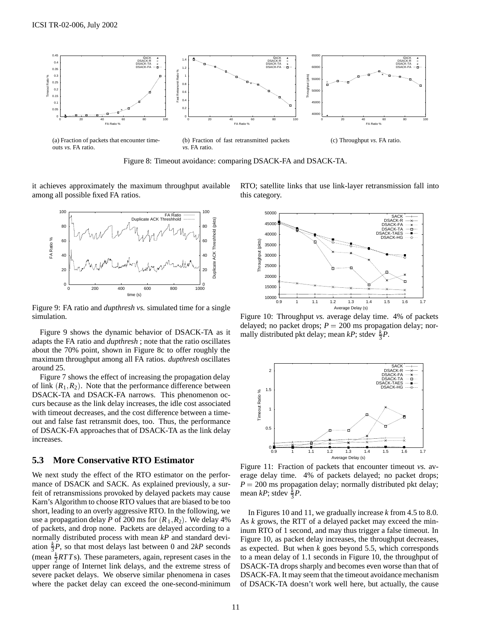

Figure 8: Timeout avoidance: comparing DSACK-FA and DSACK-TA.

it achieves approximately the maximum throughput available among all possible fixed FA ratios.



Figure 9: FA ratio and *dupthresh vs.* simulated time for a single simulation.

Figure 9 shows the dynamic behavior of DSACK-TA as it adapts the FA ratio and *dupthresh* ; note that the ratio oscillates about the 70% point, shown in Figure 8c to offer roughly the maximum throughput among all FA ratios. *dupthresh* oscillates around 25.

Figure 7 shows the effect of increasing the propagation delay of link  $(R_1, R_2)$ . Note that the performance difference between DSACK-TA and DSACK-FA narrows. This phenomenon occurs because as the link delay increases, the idle cost associated with timeout decreases, and the cost difference between a timeout and false fast retransmit does, too. Thus, the performance of DSACK-FA approaches that of DSACK-TA as the link delay increases.

## **5.3 More Conservative RTO Estimator**

We next study the effect of the RTO estimator on the performance of DSACK and SACK. As explained previously, a surfeit of retransmissions provoked by delayed packets may cause Karn's Algorithm to choose RTO values that are biased to be too short, leading to an overly aggressive RTO. In the following, we use a propagation delay *P* of 200 ms for  $(R_1, R_2)$ . We delay 4% of packets, and drop none. Packets are delayed according to a normally distributed process with mean *kP* and standard deviation  $\frac{k}{3}P$ , so that most delays last between 0 and 2kP seconds (mean  $\frac{k}{2}RTT$ s). These parameters, again, represent cases in the upper range of Internet link delays, and the extreme stress of severe packet delays. We observe similar phenomena in cases where the packet delay can exceed the one-second-minimum RTO; satellite links that use link-layer retransmission fall into this category.



Figure 10: Throughput *vs.* average delay time. 4% of packets delayed; no packet drops;  $P = 200$  ms propagation delay; normally distributed pkt delay; mean *kP*; stdev  $\frac{k}{3}P$ .



Figure 11: Fraction of packets that encounter timeout *vs.* average delay time. 4% of packets delayed; no packet drops;  $P = 200$  ms propagation delay; normally distributed pkt delay; mean *kP*; stdev  $\frac{k}{3}P$ .

In Figures 10 and 11, we gradually increase *k* from 4.5 to 8.0. As *k* grows, the RTT of a delayed packet may exceed the mininum RTO of 1 second, and may thus trigger a false timeout. In Figure 10, as packet delay increases, the throughput decreases, as expected. But when *k* goes beyond 5.5, which corresponds to a mean delay of 1.1 seconds in Figure 10, the throughput of DSACK-TA drops sharply and becomes even worse than that of DSACK-FA. It may seem that the timeout avoidance mechanism of DSACK-TA doesn't work well here, but actually, the cause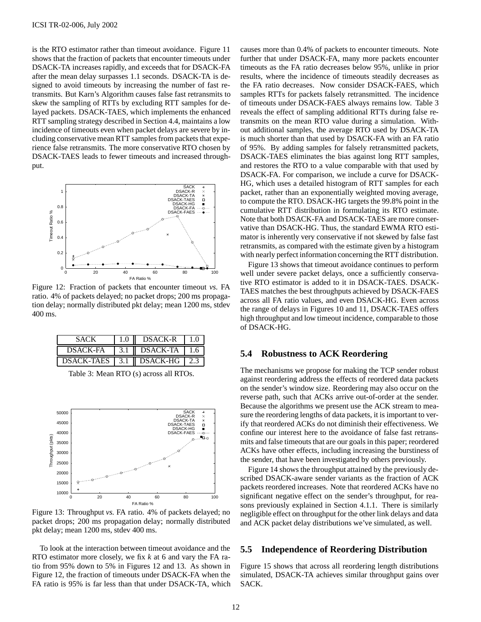is the RTO estimator rather than timeout avoidance. Figure 11 shows that the fraction of packets that encounter timeouts under DSACK-TA increases rapidly, and exceeds that for DSACK-FA after the mean delay surpasses 1.1 seconds. DSACK-TA is designed to avoid timeouts by increasing the number of fast retransmits. But Karn's Algorithm causes false fast retransmits to skew the sampling of RTTs by excluding RTT samples for delayed packets. DSACK-TAES, which implements the enhanced RTT sampling strategy described in Section 4.4, maintains a low incidence of timeouts even when packet delays are severe by including conservative mean RTT samples from packets that experience false retransmits. The more conservative RTO chosen by DSACK-TAES leads to fewer timeouts and increased throughput.



Figure 12: Fraction of packets that encounter timeout *vs.* FA ratio. 4% of packets delayed; no packet drops; 200 ms propagation delay; normally distributed pkt delay; mean 1200 ms, stdev 400 ms.

| SACK                | $1.0 -$ | <b>DSACK-R</b>             |       |
|---------------------|---------|----------------------------|-------|
| DSACK-FA            |         | $3.1$    DSACK-TA          | l 1.6 |
| <b>DSACK-TAES</b> 1 |         | 3.1   DSACK-HG $\vert$ 2.3 |       |

Table 3: Mean RTO (s) across all RTOs.



Figure 13: Throughput *vs.* FA ratio. 4% of packets delayed; no packet drops; 200 ms propagation delay; normally distributed pkt delay; mean 1200 ms, stdev 400 ms.

To look at the interaction between timeout avoidance and the RTO estimator more closely, we fix *k* at 6 and vary the FA ratio from 95% down to 5% in Figures 12 and 13. As shown in Figure 12, the fraction of timeouts under DSACK-FA when the FA ratio is 95% is far less than that under DSACK-TA, which causes more than 0.4% of packets to encounter timeouts. Note further that under DSACK-FA, many more packets encounter timeouts as the FA ratio decreases below 95%, unlike in prior results, where the incidence of timeouts steadily decreases as the FA ratio decreases. Now consider DSACK-FAES, which samples RTTs for packets falsely retransmitted. The incidence of timeouts under DSACK-FAES always remains low. Table 3 reveals the effect of sampling additional RTTs during false retransmits on the mean RTO value during a simulation. Without additional samples, the average RTO used by DSACK-TA is much shorter than that used by DSACK-FA with an FA ratio of 95%. By adding samples for falsely retransmitted packets, DSACK-TAES eliminates the bias against long RTT samples, and restores the RTO to a value comparable with that used by DSACK-FA. For comparison, we include a curve for DSACK-HG, which uses a detailed histogram of RTT samples for each packet, rather than an exponentially weighted moving average, to compute the RTO. DSACK-HG targets the 99.8% point in the cumulative RTT distribution in formulating its RTO estimate. Note that both DSACK-FA and DSACK-TAES are more conservative than DSACK-HG. Thus, the standard EWMA RTO estimator is inherently very conservative if not skewed by false fast retransmits, as compared with the estimate given by a histogram with nearly perfect information concerning the RTT distribution.

Figure 13 shows that timeout avoidance continues to perform well under severe packet delays, once a sufficiently conservative RTO estimator is added to it in DSACK-TAES. DSACK-TAES matches the best throughputs achieved by DSACK-FAES across all FA ratio values, and even DSACK-HG. Even across the range of delays in Figures 10 and 11, DSACK-TAES offers high throughput and low timeout incidence, comparable to those of DSACK-HG.

## **5.4 Robustness to ACK Reordering**

The mechanisms we propose for making the TCP sender robust against reordering address the effects of reordered data packets on the sender's window size. Reordering may also occur on the reverse path, such that ACKs arrive out-of-order at the sender. Because the algorithms we present use the ACK stream to measure the reordering lengths of data packets, it is important to verify that reordered ACKs do not diminish their effectiveness. We confine our interest here to the avoidance of false fast retransmits and false timeouts that are our goals in this paper; reordered ACKs have other effects, including increasing the burstiness of the sender, that have been investigated by others previously.

Figure 14 shows the throughput attained by the previously described DSACK-aware sender variants as the fraction of ACK packets reordered increases. Note that reordered ACKs have no significant negative effect on the sender's throughput, for reasons previously explained in Section 4.1.1. There is similarly negligible effect on throughput for the other link delays and data and ACK packet delay distributions we've simulated, as well.

## **5.5 Independence of Reordering Distribution**

Figure 15 shows that across all reordering length distributions simulated, DSACK-TA achieves similar throughput gains over SACK.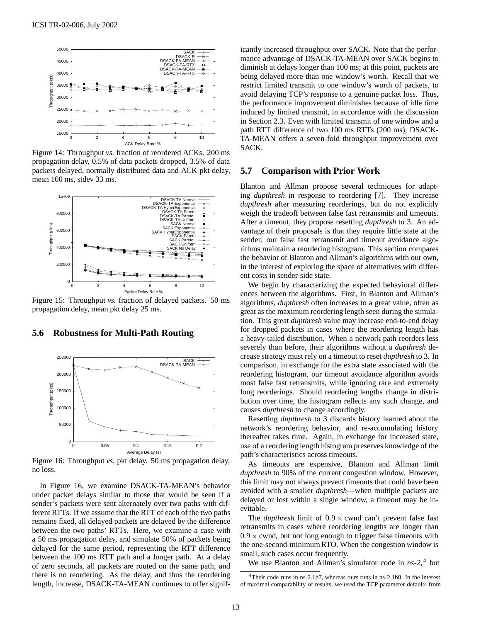

Figure 14: Throughput *vs.* fraction of reordered ACKs. 200 ms propagation delay, 0.5% of data packets dropped, 3.5% of data packets delayed, normally distributed data and ACK pkt delay, mean 100 ms, stdev 33 ms.



Figure 15: Throughput *vs.* fraction of delayed packets. 50 ms propagation delay, mean pkt delay 25 ms.

#### **5.6 Robustness for Multi-Path Routing**



Figure 16: Throughput *vs.* pkt delay. 50 ms propagation delay, no loss.

In Figure 16, we examine DSACK-TA-MEAN's behavior under packet delays similar to those that would be seen if a sender's packets were sent alternately over two paths with different RTTs. If we assume that the RTT of each of the two paths remains fixed, all delayed packets are delayed by the difference between the two paths' RTTs. Here, we examine a case with a 50 ms propagation delay, and simulate 50% of packets being delayed for the same period, representing the RTT difference between the 100 ms RTT path and a longer path. At a delay of zero seconds, all packets are routed on the same path, and there is no reordering. As the delay, and thus the reordering length, increase, DSACK-TA-MEAN continues to offer signif-

icantly increased throughput over SACK. Note that the performance advantage of DSACK-TA-MEAN over SACK begins to diminish at delays longer than 100 ms; at this point, packets are being delayed more than one window's worth. Recall that we restrict limited transmit to one window's worth of packets, to avoid delaying TCP's response to a genuine packet loss. Thus, the performance improvement diminishes because of idle time induced by limited transmit, in accordance with the discussion in Section 2.3. Even with limited transmit of one window and a path RTT difference of two 100 ms RTTs (200 ms), DSACK-TA-MEAN offers a seven-fold throughput improvement over SACK.

#### **5.7 Comparison with Prior Work**

Blanton and Allman propose several techniques for adapting *dupthresh* in response to reordering [7]. They increase *dupthresh* after measuring reorderings, but do not explicitly weigh the tradeoff between false fast retransmits and timeouts. After a timeout, they propose resetting *dupthresh* to 3. An advantage of their proposals is that they require little state at the sender; our false fast retransmit and timeout avoidance algorithms maintain a reordering histogram. This section compares the behavior of Blanton and Allman's algorithms with our own, in the interest of exploring the space of alternatives with different costs in sender-side state.

We begin by characterizing the expected behavioral differences between the algorithms. First, in Blanton and Allman's algorithms, *dupthresh* often increases to a great value, often as great as the maximum reordering length seen during the simulation. This great *dupthresh* value may increase end-to-end delay for dropped packets in cases where the reordering length has a heavy-tailed distribution. When a network path reorders less severely than before, their algorithms without a *dupthresh* decrease strategy must rely on a timeout to reset *dupthresh* to 3. In comparison, in exchange for the extra state associated with the reordering histogram, our timeout avoidance algorithm avoids most false fast retransmits, while ignoring rare and extremely long reorderings. Should reordering lengths change in distribution over time, the histogram reflects any such change, and causes *dupthresh* to change accordingly.

Resetting *dupthresh* to 3 discards history learned about the network's reordering behavior, and re-accumulating history thereafter takes time. Again, in exchange for increased state, use of a reordering length histogram preserves knowledge of the path's characteristics across timeouts.

As timeouts are expensive, Blanton and Allman limit *dupthresh* to 90% of the current congestion window. However, this limit may not always prevent timeouts that could have been avoided with a smaller *dupthresh*—when multiple packets are delayed or lost within a single window, a timeout may be inevitable.

The *dupthresh* limit of  $0.9 \times$  cwnd can't prevent false fast retransmits in cases where reordering lengths are longer than  $0.9 \times$  cwnd, but not long enough to trigger false timeouts with the one-second-minimum RTO. When the congestion window is small, such cases occur frequently.

We use Blanton and Allman's simulator code in *ns-2*, <sup>4</sup> but

<sup>&</sup>lt;sup>4</sup>Their code runs in ns-2.1b7, whereas ours runs in ns-2.1b8. In the interest of maximal comparability of results, we used the TCP parameter defaults from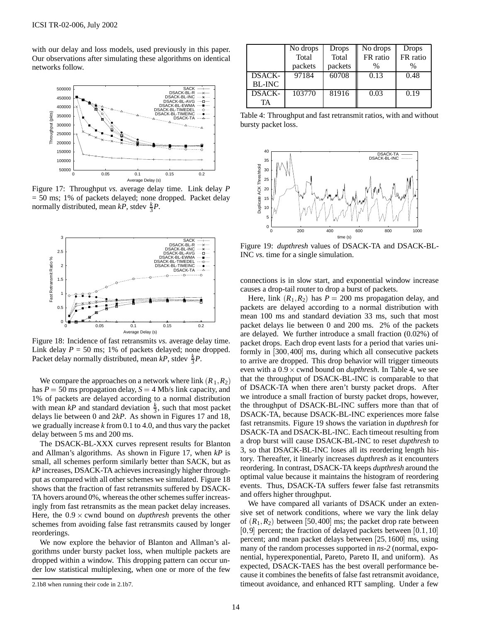with our delay and loss models, used previously in this paper. Our observations after simulating these algorithms on identical networks follow.



Figure 17: Throughput *vs.* average delay time. Link delay *P* = 50 ms; 1% of packets delayed; none dropped. Packet delay normally distributed, mean  $kP$ , stdev  $\frac{k}{3}P$ .



Figure 18: Incidence of fast retransmits *vs.* average delay time. Link delay  $P = 50$  ms; 1% of packets delayed; none dropped. Packet delay normally distributed, mean  $kP$ , stdev  $\frac{k}{3}P$ .

We compare the approaches on a network where link  $(R_1, R_2)$ has  $P = 50$  ms propagation delay,  $S = 4$  Mb/s link capacity, and 1% of packets are delayed according to a normal distribution with mean  $kP$  and standard deviation  $\frac{k}{3}$ , such that most packet delays lie between 0 and 2*kP*. As shown in Figures 17 and 18, we gradually increase *k* from 0.1 to 4.0, and thus vary the packet delay between 5 ms and 200 ms.

The DSACK-BL-XXX curves represent results for Blanton and Allman's algorithms. As shown in Figure 17, when *kP* is small, all schemes perform similarly better than SACK, but as *kP* increases, DSACK-TA achieves increasingly higher throughput as compared with all other schemes we simulated. Figure 18 shows that the fraction of fast retransmits suffered by DSACK-TA hovers around 0%, whereas the other schemes suffer increasingly from fast retransmits as the mean packet delay increases. Here, the  $0.9 \times$  cwnd bound on *dupthresh* prevents the other schemes from avoiding false fast retransmits caused by longer reorderings.

We now explore the behavior of Blanton and Allman's algorithms under bursty packet loss, when multiple packets are dropped within a window. This dropping pattern can occur under low statistical multiplexing, when one or more of the few

|               | No drops | Drops   | No drops | Drops    |
|---------------|----------|---------|----------|----------|
|               | Total    | Total   | FR ratio | FR ratio |
|               | packets  | packets | $\%$     | %        |
| <b>DSACK-</b> | 97184    | 60708   | 0.13     | 0.48     |
| <b>BL-INC</b> |          |         |          |          |
| <b>DSACK-</b> | 103770   | 81916   | 0.03     | 0.19     |
| TA            |          |         |          |          |

Table 4: Throughput and fast retransmit ratios, with and without bursty packet loss.



Figure 19: *dupthresh* values of DSACK-TA and DSACK-BL-INC *vs.* time for a single simulation.

connections is in slow start, and exponential window increase causes a drop-tail router to drop a burst of packets.

Here, link  $(R_1, R_2)$  has  $P = 200$  ms propagation delay, and packets are delayed according to a normal distribution with mean 100 ms and standard deviation 33 ms, such that most packet delays lie between 0 and 200 ms. 2% of the packets are delayed. We further introduce a small fraction (0.02%) of packet drops. Each drop event lasts for a period that varies uniformly in [300; 400] ms, during which all consecutive packets to arrive are dropped. This drop behavior will trigger timeouts even with a  $0.9 \times$  cwnd bound on *dupthresh*. In Table 4, we see that the throughput of DSACK-BL-INC is comparable to that of DSACK-TA when there aren't bursty packet drops. After we introduce a small fraction of bursty packet drops, however, the throughput of DSACK-BL-INC suffers more than that of DSACK-TA, because DSACK-BL-INC experiences more false fast retransmits. Figure 19 shows the variation in *dupthresh* for DSACK-TA and DSACK-BL-INC. Each timeout resulting from a drop burst will cause DSACK-BL-INC to reset *dupthresh* to 3, so that DSACK-BL-INC loses all its reordering length history. Thereafter, it linearly increases *dupthresh* as it encounters reordering. In contrast, DSACK-TA keeps *dupthresh* around the optimal value because it maintains the histogram of reordering events. Thus, DSACK-TA suffers fewer false fast retransmits and offers higher throughput.

We have compared all variants of DSACK under an extensive set of network conditions, where we vary the link delay of  $(R_1, R_2)$  between [50,400] ms; the packet drop rate between  $[0, 9]$  percent; the fraction of delayed packets between  $[0.1, 10]$ percent; and mean packet delays between [25; 1600] ms, using many of the random processes supported in *ns-2* (normal, exponential, hyperexponential, Pareto, Pareto II, and uniform). As expected, DSACK-TAES has the best overall performance because it combines the benefits of false fast retransmit avoidance, timeout avoidance, and enhanced RTT sampling. Under a few

<sup>2.1</sup>b8 when running their code in 2.1b7.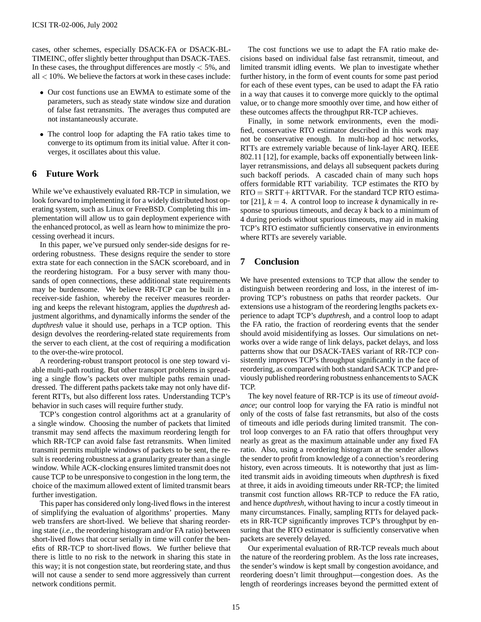cases, other schemes, especially DSACK-FA or DSACK-BL-TIMEINC, offer slightly better throughput than DSACK-TAES. In these cases, the throughput differences are mostly  $\leq 5\%$ , and  $all < 10\%$ . We believe the factors at work in these cases include:

- Our cost functions use an EWMA to estimate some of the parameters, such as steady state window size and duration of false fast retransmits. The averages thus computed are not instantaneously accurate.
- The control loop for adapting the FA ratio takes time to converge to its optimum from its initial value. After it converges, it oscillates about this value.

# **6 Future Work**

While we've exhaustively evaluated RR-TCP in simulation, we look forward to implementing it for a widely distributed host operating system, such as Linux or FreeBSD. Completing this implementation will allow us to gain deployment experience with the enhanced protocol, as well as learn how to minimize the processing overhead it incurs.

In this paper, we've pursued only sender-side designs for reordering robustness. These designs require the sender to store extra state for each connection in the SACK scoreboard, and in the reordering histogram. For a busy server with many thousands of open connections, these additional state requirements may be burdensome. We believe RR-TCP can be built in a receiver-side fashion, whereby the receiver measures reordering and keeps the relevant histogram, applies the *dupthresh* adjustment algorithms, and dynamically informs the sender of the *dupthresh* value it should use, perhaps in a TCP option. This design devolves the reordering-related state requirements from the server to each client, at the cost of requiring a modification to the over-the-wire protocol.

A reordering-robust transport protocol is one step toward viable multi-path routing. But other transport problems in spreading a single flow's packets over multiple paths remain unaddressed. The different paths packets take may not only have different RTTs, but also different loss rates. Understanding TCP's behavior in such cases will require further study.

TCP's congestion control algorithms act at a granularity of a single window. Choosing the number of packets that limited transmit may send affects the maximum reordering length for which RR-TCP can avoid false fast retransmits. When limited transmit permits multiple windows of packets to be sent, the result is reordering robustness at a granularity greater than a single window. While ACK-clocking ensures limited transmit does not cause TCP to be unresponsive to congestion in the long term, the choice of the maximum allowed extent of limited transmit bears further investigation.

This paper has considered only long-lived flows in the interest of simplifying the evaluation of algorithms' properties. Many web transfers are short-lived. We believe that sharing reordering state (*i.e.,* the reordering histogram and/or FA ratio) between short-lived flows that occur serially in time will confer the benefits of RR-TCP to short-lived flows. We further believe that there is little to no risk to the network in sharing this state in this way; it is not congestion state, but reordering state, and thus will not cause a sender to send more aggressively than current network conditions permit.

The cost functions we use to adapt the FA ratio make decisions based on individual false fast retransmit, timeout, and limited transmit idling events. We plan to investigate whether further history, in the form of event counts for some past period for each of these event types, can be used to adapt the FA ratio in a way that causes it to converge more quickly to the optimal value, or to change more smoothly over time, and how either of these outcomes affects the throughput RR-TCP achieves.

Finally, in some network environments, even the modified, conservative RTO estimator described in this work may not be conservative enough. In multi-hop ad hoc networks, RTTs are extremely variable because of link-layer ARQ. IEEE 802.11 [12], for example, backs off exponentially between linklayer retransmissions, and delays all subsequent packets during such backoff periods. A cascaded chain of many such hops offers formidable RTT variability. TCP estimates the RTO by  $RTO = SRTT + kRTTVAR$ . For the standard TCP RTO estimator [21],  $k = 4$ . A control loop to increase *k* dynamically in response to spurious timeouts, and decay *k* back to a minimum of 4 during periods without spurious timeouts, may aid in making TCP's RTO estimator sufficiently conservative in environments where RTTs are severely variable.

# **7 Conclusion**

We have presented extensions to TCP that allow the sender to distinguish between reordering and loss, in the interest of improving TCP's robustness on paths that reorder packets. Our extensions use a histogram of the reordering lengths packets experience to adapt TCP's *dupthresh*, and a control loop to adapt the FA ratio, the fraction of reordering events that the sender should avoid misidentifying as losses. Our simulations on networks over a wide range of link delays, packet delays, and loss patterns show that our DSACK-TAES variant of RR-TCP consistently improves TCP's throughput significantly in the face of reordering, as compared with both standard SACK TCP and previously published reordering robustness enhancements to SACK TCP.

The key novel feature of RR-TCP is its use of *timeout avoidance*; our control loop for varying the FA ratio is mindful not only of the costs of false fast retransmits, but also of the costs of timeouts and idle periods during limited transmit. The control loop converges to an FA ratio that offers throughput very nearly as great as the maximum attainable under any fixed FA ratio. Also, using a reordering histogram at the sender allows the sender to profit from knowledge of a connection's reordering history, even across timeouts. It is noteworthy that just as limited transmit aids in avoiding timeouts when *dupthresh* is fixed at three, it aids in avoiding timeouts under RR-TCP; the limited transmit cost function allows RR-TCP to reduce the FA ratio, and hence *dupthresh*, without having to incur a costly timeout in many circumstances. Finally, sampling RTTs for delayed packets in RR-TCP significantly improves TCP's throughput by ensuring that the RTO estimator is sufficiently conservative when packets are severely delayed.

Our experimental evaluation of RR-TCP reveals much about the nature of the reordering problem. As the loss rate increases, the sender's window is kept small by congestion avoidance, and reordering doesn't limit throughput—congestion does. As the length of reorderings increases beyond the permitted extent of